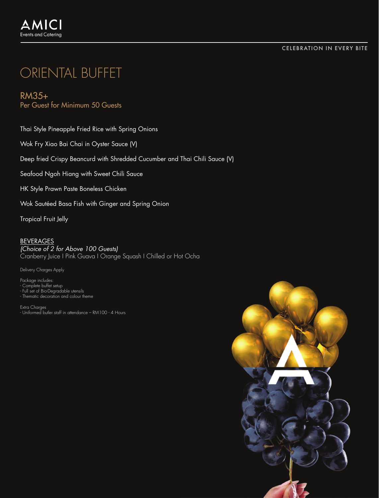### CELEBRATION IN EVERY BITE

# ORIENTAL BUFFET

## RM35+ Per Guest for Minimum 50 Guests

Thai Style Pineapple Fried Rice with Spring Onions

Wok Fry Xiao Bai Chai in Oyster Sauce (V)

Deep fried Crispy Beancurd with Shredded Cucumber and Thai Chili Sauce (V)

Seafood Ngoh Hiang with Sweet Chili Sauce

HK Style Prawn Paste Boneless Chicken

Wok Sautéed Basa Fish with Ginger and Spring Onion

Tropical Fruit Jelly

#### BEVERAGES

*(Choice of 2 for Above 100 Guests)* Cranberry Juice I Pink Guava I Orange Squash I Chilled or Hot Ocha

Delivery Charges Apply

Package includes: - Complete buffet setup - Full set of Bio-Degradable utensils - Thematic decoration and colour theme

Extra Charges - Uniformed butler staff in attendance – RM100 - 4 Hours

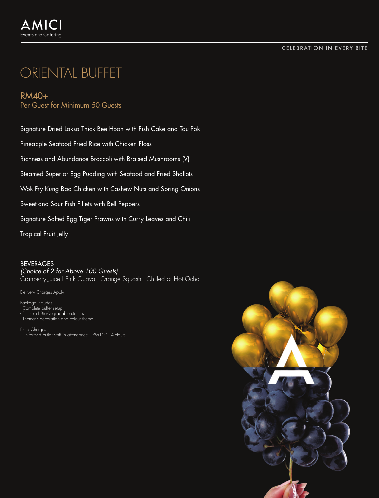### CELEBRATION IN EVERY BITE

# ORIENTAL BUFFET

## RM40+ Per Guest for Minimum 50 Guests

Signature Dried Laksa Thick Bee Hoon with Fish Cake and Tau Pok

Pineapple Seafood Fried Rice with Chicken Floss

Richness and Abundance Broccoli with Braised Mushrooms (V)

Steamed Superior Egg Pudding with Seafood and Fried Shallots

Wok Fry Kung Bao Chicken with Cashew Nuts and Spring Onions

Sweet and Sour Fish Fillets with Bell Peppers

Signature Salted Egg Tiger Prawns with Curry Leaves and Chili

Tropical Fruit Jelly

## BEVERAGES

*(Choice of 2 for Above 100 Guests)*

Cranberry Juice I Pink Guava I Orange Squash I Chilled or Hot Ocha

Delivery Charges Apply

- 
- Package includes: Complete buffet setup Full set of Bio-Degradable utensils Thematic decoration and colour theme

Extra Charges - Uniformed butler staff in attendance – RM100 - 4 Hours